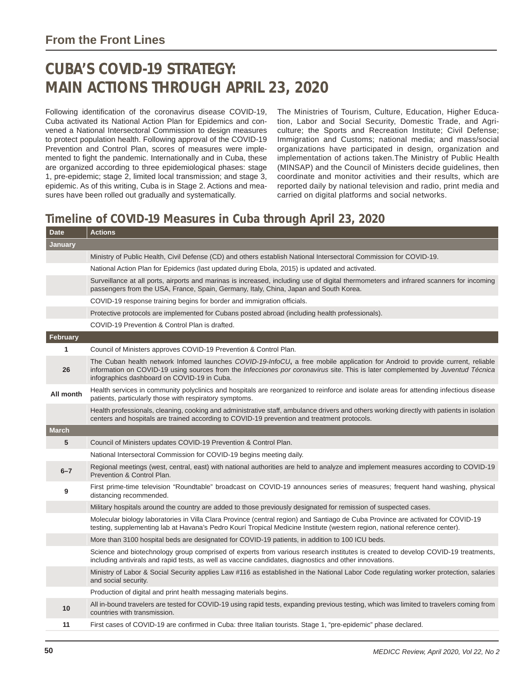## **CUBA'S COVID-19 STRATEGY: MAIN ACTIONS THROUGH APRIL 23, 2020**

Following identification of the coronavirus disease COVID-19, Cuba activated its National Action Plan for Epidemics and convened a National Intersectoral Commission to design measures to protect population health. Following approval of the COVID-19 Prevention and Control Plan, scores of measures were implemented to fight the pandemic. Internationally and in Cuba, these are organized according to three epidemiological phases: stage 1, pre-epidemic; stage 2, limited local transmission; and stage 3, epidemic. As of this writing, Cuba is in Stage 2. Actions and measures have been rolled out gradually and systematically.

The Ministries of Tourism, Culture, Education, Higher Education, Labor and Social Security, Domestic Trade, and Agriculture; the Sports and Recreation Institute; Civil Defense; Immigration and Customs; national media; and mass/social organizations have participated in design, organization and implementation of actions taken.The Ministry of Public Health (MINSAP) and the Council of Ministers decide guidelines, then coordinate and monitor activities and their results, which are reported daily by national television and radio, print media and carried on digital platforms and social networks.

## **Timeline of COVID-19 Measures in Cuba through April 23, 2020**

| <b>Date</b>  | <b>Actions</b>                                                                                                                                                                                                                                                                                                  |
|--------------|-----------------------------------------------------------------------------------------------------------------------------------------------------------------------------------------------------------------------------------------------------------------------------------------------------------------|
| January      |                                                                                                                                                                                                                                                                                                                 |
|              | Ministry of Public Health, Civil Defense (CD) and others establish National Intersectoral Commission for COVID-19.                                                                                                                                                                                              |
|              | National Action Plan for Epidemics (last updated during Ebola, 2015) is updated and activated.                                                                                                                                                                                                                  |
|              | Surveillance at all ports, airports and marinas is increased, including use of digital thermometers and infrared scanners for incoming<br>passengers from the USA, France, Spain, Germany, Italy, China, Japan and South Korea.                                                                                 |
|              | COVID-19 response training begins for border and immigration officials.                                                                                                                                                                                                                                         |
|              | Protective protocols are implemented for Cubans posted abroad (including health professionals).                                                                                                                                                                                                                 |
|              | COVID-19 Prevention & Control Plan is drafted.                                                                                                                                                                                                                                                                  |
| February     |                                                                                                                                                                                                                                                                                                                 |
| 1            | Council of Ministers approves COVID-19 Prevention & Control Plan.                                                                                                                                                                                                                                               |
| 26           | The Cuban health network Infomed launches COVID-19-InfoCU, a free mobile application for Android to provide current, reliable<br>information on COVID-19 using sources from the Infecciones por coronavirus site. This is later complemented by Juventud Técnica<br>infographics dashboard on COVID-19 in Cuba. |
| All month    | Health services in community polyclinics and hospitals are reorganized to reinforce and isolate areas for attending infectious disease<br>patients, particularly those with respiratory symptoms.                                                                                                               |
|              | Health professionals, cleaning, cooking and administrative staff, ambulance drivers and others working directly with patients in isolation<br>centers and hospitals are trained according to COVID-19 prevention and treatment protocols.                                                                       |
| <b>March</b> |                                                                                                                                                                                                                                                                                                                 |
| 5            | Council of Ministers updates COVID-19 Prevention & Control Plan.                                                                                                                                                                                                                                                |
|              | National Intersectoral Commission for COVID-19 begins meeting daily.                                                                                                                                                                                                                                            |
| $6 - 7$      | Regional meetings (west, central, east) with national authorities are held to analyze and implement measures according to COVID-19<br>Prevention & Control Plan.                                                                                                                                                |
| 9            | First prime-time television "Roundtable" broadcast on COVID-19 announces series of measures; frequent hand washing, physical<br>distancing recommended.                                                                                                                                                         |
|              | Military hospitals around the country are added to those previously designated for remission of suspected cases.                                                                                                                                                                                                |
|              | Molecular biology laboratories in Villa Clara Province (central region) and Santiago de Cuba Province are activated for COVID-19<br>testing, supplementing lab at Havana's Pedro Kourí Tropical Medicine Institute (western region, national reference center).                                                 |
|              | More than 3100 hospital beds are designated for COVID-19 patients, in addition to 100 ICU beds.                                                                                                                                                                                                                 |
|              | Science and biotechnology group comprised of experts from various research institutes is created to develop COVID-19 treatments,<br>including antivirals and rapid tests, as well as vaccine candidates, diagnostics and other innovations.                                                                     |
|              | Ministry of Labor & Social Security applies Law #116 as established in the National Labor Code regulating worker protection, salaries<br>and social security.                                                                                                                                                   |
|              | Production of digital and print health messaging materials begins.                                                                                                                                                                                                                                              |
| 10           | All in-bound travelers are tested for COVID-19 using rapid tests, expanding previous testing, which was limited to travelers coming from<br>countries with transmission.                                                                                                                                        |
| 11           | First cases of COVID-19 are confirmed in Cuba: three Italian tourists. Stage 1, "pre-epidemic" phase declared.                                                                                                                                                                                                  |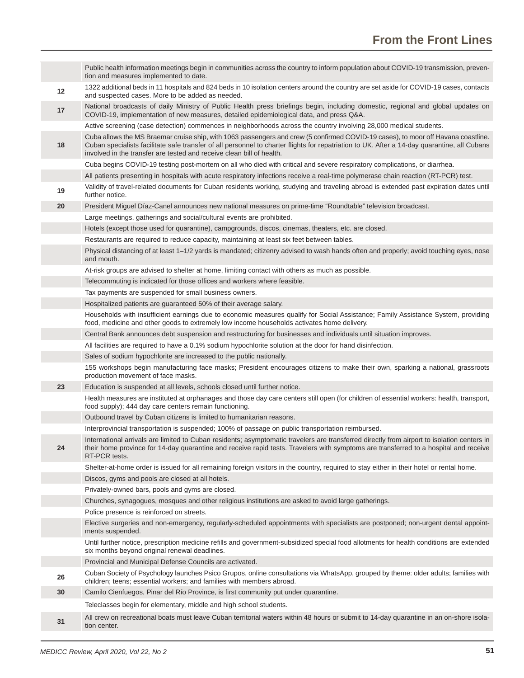|    | Public health information meetings begin in communities across the country to inform population about COVID-19 transmission, preven-<br>tion and measures implemented to date.                                                                                                                                                                             |
|----|------------------------------------------------------------------------------------------------------------------------------------------------------------------------------------------------------------------------------------------------------------------------------------------------------------------------------------------------------------|
| 12 | 1322 additional beds in 11 hospitals and 824 beds in 10 isolation centers around the country are set aside for COVID-19 cases, contacts<br>and suspected cases. More to be added as needed.                                                                                                                                                                |
| 17 | National broadcasts of daily Ministry of Public Health press briefings begin, including domestic, regional and global updates on<br>COVID-19, implementation of new measures, detailed epidemiological data, and press Q&A.                                                                                                                                |
|    | Active screening (case detection) commences in neighborhoods across the country involving 28,000 medical students.                                                                                                                                                                                                                                         |
| 18 | Cuba allows the MS Braemar cruise ship, with 1063 passengers and crew (5 confirmed COVID-19 cases), to moor off Havana coastline.<br>Cuban specialists facilitate safe transfer of all personnel to charter flights for repatriation to UK. After a 14-day quarantine, all Cubans<br>involved in the transfer are tested and receive clean bill of health. |
|    | Cuba begins COVID-19 testing post-mortem on all who died with critical and severe respiratory complications, or diarrhea.                                                                                                                                                                                                                                  |
|    | All patients presenting in hospitals with acute respiratory infections receive a real-time polymerase chain reaction (RT-PCR) test.                                                                                                                                                                                                                        |
| 19 | Validity of travel-related documents for Cuban residents working, studying and traveling abroad is extended past expiration dates until<br>further notice.                                                                                                                                                                                                 |
| 20 | President Miguel Díaz-Canel announces new national measures on prime-time "Roundtable" television broadcast.                                                                                                                                                                                                                                               |
|    | Large meetings, gatherings and social/cultural events are prohibited.                                                                                                                                                                                                                                                                                      |
|    | Hotels (except those used for quarantine), campgrounds, discos, cinemas, theaters, etc. are closed.                                                                                                                                                                                                                                                        |
|    | Restaurants are required to reduce capacity, maintaining at least six feet between tables.                                                                                                                                                                                                                                                                 |
|    | Physical distancing of at least 1-1/2 yards is mandated; citizenry advised to wash hands often and properly; avoid touching eyes, nose<br>and mouth.                                                                                                                                                                                                       |
|    | At-risk groups are advised to shelter at home, limiting contact with others as much as possible.                                                                                                                                                                                                                                                           |
|    | Telecommuting is indicated for those offices and workers where feasible.                                                                                                                                                                                                                                                                                   |
|    | Tax payments are suspended for small business owners.                                                                                                                                                                                                                                                                                                      |
|    | Hospitalized patients are guaranteed 50% of their average salary.                                                                                                                                                                                                                                                                                          |
|    | Households with insufficient earnings due to economic measures qualify for Social Assistance; Family Assistance System, providing<br>food, medicine and other goods to extremely low income households activates home delivery.                                                                                                                            |
|    | Central Bank announces debt suspension and restructuring for businesses and individuals until situation improves.                                                                                                                                                                                                                                          |
|    | All facilities are required to have a 0.1% sodium hypochlorite solution at the door for hand disinfection.                                                                                                                                                                                                                                                 |
|    | Sales of sodium hypochlorite are increased to the public nationally.                                                                                                                                                                                                                                                                                       |
|    | 155 workshops begin manufacturing face masks; President encourages citizens to make their own, sparking a national, grassroots<br>production movement of face masks.                                                                                                                                                                                       |
| 23 | Education is suspended at all levels, schools closed until further notice.                                                                                                                                                                                                                                                                                 |
|    | Health measures are instituted at orphanages and those day care centers still open (for children of essential workers: health, transport,<br>food supply); 444 day care centers remain functioning.                                                                                                                                                        |
|    | Outbound travel by Cuban citizens is limited to humanitarian reasons.                                                                                                                                                                                                                                                                                      |
|    | Interprovincial transportation is suspended; 100% of passage on public transportation reimbursed.                                                                                                                                                                                                                                                          |
| 24 | International arrivals are limited to Cuban residents; asymptomatic travelers are transferred directly from airport to isolation centers in<br>their home province for 14-day quarantine and receive rapid tests. Travelers with symptoms are transferred to a hospital and receive<br>RT-PCR tests.                                                       |
|    | Shelter-at-home order is issued for all remaining foreign visitors in the country, required to stay either in their hotel or rental home.                                                                                                                                                                                                                  |
|    | Discos, gyms and pools are closed at all hotels.                                                                                                                                                                                                                                                                                                           |
|    | Privately-owned bars, pools and gyms are closed.                                                                                                                                                                                                                                                                                                           |
|    | Churches, synagogues, mosques and other religious institutions are asked to avoid large gatherings.                                                                                                                                                                                                                                                        |
|    | Police presence is reinforced on streets.                                                                                                                                                                                                                                                                                                                  |
|    | Elective surgeries and non-emergency, regularly-scheduled appointments with specialists are postponed; non-urgent dental appoint-<br>ments suspended.                                                                                                                                                                                                      |
|    | Until further notice, prescription medicine refills and government-subsidized special food allotments for health conditions are extended<br>six months beyond original renewal deadlines.                                                                                                                                                                  |
|    | Provincial and Municipal Defense Councils are activated.                                                                                                                                                                                                                                                                                                   |
| 26 | Cuban Society of Psychology launches Psico Grupos, online consultations via WhatsApp, grouped by theme: older adults; families with<br>children; teens; essential workers; and families with members abroad.                                                                                                                                               |
| 30 | Camilo Cienfuegos, Pinar del Río Province, is first community put under quarantine.                                                                                                                                                                                                                                                                        |
|    | Teleclasses begin for elementary, middle and high school students.                                                                                                                                                                                                                                                                                         |
| 31 | All crew on recreational boats must leave Cuban territorial waters within 48 hours or submit to 14-day quarantine in an on-shore isola-<br>tion center.                                                                                                                                                                                                    |
|    |                                                                                                                                                                                                                                                                                                                                                            |